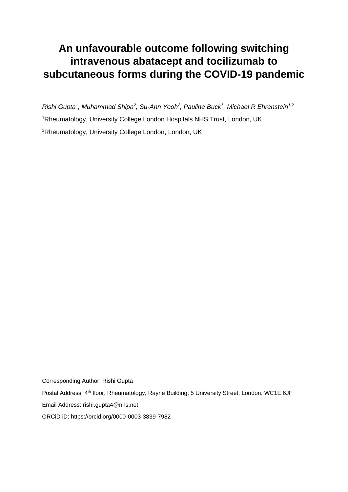## **An unfavourable outcome following switching intravenous abatacept and tocilizumab to subcutaneous forms during the COVID-19 pandemic**

*Rishi Gupta<sup>1</sup> , Muhammad Shipa<sup>2</sup> , Su-Ann Yeoh<sup>2</sup> , Pauline Buck<sup>1</sup> , Michael R Ehrenstein1,2* <sup>1</sup>Rheumatology, University College London Hospitals NHS Trust, London, UK <sup>2</sup>Rheumatology, University College London, London, UK

Corresponding Author: Rishi Gupta Postal Address: 4<sup>th</sup> floor, Rheumatology, Rayne Building, 5 University Street, London, WC1E 6JF Email Address: rishi.gupta4@nhs.net ORCiD iD: https://orcid.org/0000-0003-3839-7982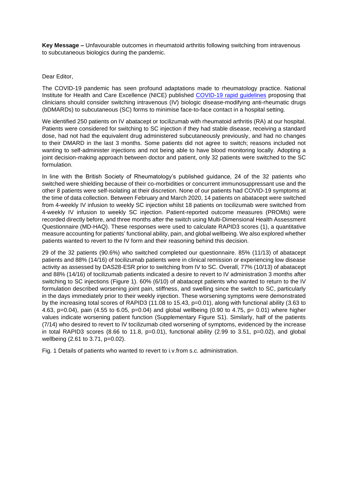**Key Message –** Unfavourable outcomes in rheumatoid arthritis following switching from intravenous to subcutaneous biologics during the pandemic.

## Dear Editor,

The COVID-19 pandemic has seen profound adaptations made to rheumatology practice. National Institute for Health and Care Excellence (NICE) published [COVID-19 rapid guidelines](https://www.nice.org.uk/guidance/ng167/chapter/4-Treatment-considerations#biological-treatments) proposing that clinicians should consider switching intravenous (IV) biologic disease-modifying anti-rheumatic drugs (bDMARDs) to subcutaneous (SC) forms to minimise face-to-face contact in a hospital setting.

We identified 250 patients on IV abatacept or tocilizumab with rheumatoid arthritis (RA) at our hospital. Patients were considered for switching to SC injection if they had stable disease, receiving a standard dose, had not had the equivalent drug administered subcutaneously previously, and had no changes to their DMARD in the last 3 months. Some patients did not agree to switch; reasons included not wanting to self-administer injections and not being able to have blood monitoring locally. Adopting a joint decision-making approach between doctor and patient, only 32 patients were switched to the SC formulation.

In line with the British Society of Rheumatology's published guidance, 24 of the 32 patients who switched were shielding because of their co-morbidities or concurrent immunosuppressant use and the other 8 patients were self-isolating at their discretion. None of our patients had COVID-19 symptoms at the time of data collection. Between February and March 2020, 14 patients on abatacept were switched from 4-weekly IV infusion to weekly SC injection whilst 18 patients on tocilizumab were switched from 4-weekly IV infusion to weekly SC injection. Patient-reported outcome measures (PROMs) were recorded directly before, and three months after the switch using Multi-Dimensional Health Assessment Questionnaire (MD-HAQ). These responses were used to calculate RAPID3 scores (1), a quantitative measure accounting for patients' functional ability, pain, and global wellbeing. We also explored whether patients wanted to revert to the IV form and their reasoning behind this decision.

29 of the 32 patients (90.6%) who switched completed our questionnaire. 85% (11/13) of abatacept patients and 88% (14/16) of tocilizumab patients were in clinical remission or experiencing low disease activity as assessed by DAS28-ESR prior to switching from IV to SC. Overall, 77% (10/13) of abatacept and 88% (14/16) of tocilizumab patients indicated a desire to revert to IV administration 3 months after switching to SC injections (Figure 1). 60% (6/10) of abatacept patients who wanted to return to the IV formulation described worsening joint pain, stiffness, and swelling since the switch to SC, particularly in the days immediately prior to their weekly injection. These worsening symptoms were demonstrated by the increasing total scores of RAPID3 (11.08 to 15.43, p=0.01), along with functional ability (3.63 to 4.63, p=0.04), pain (4.55 to 6.05, p=0.04) and global wellbeing (0.90 to 4.75, p= 0.01) where higher values indicate worsening patient function (Supplementary Figure S1). Similarly, half of the patients (7/14) who desired to revert to IV tocilizumab cited worsening of symptoms, evidenced by the increase in total RAPID3 scores  $(8.66 \text{ to } 11.8, \text{ p=0.01})$ , functional ability  $(2.99 \text{ to } 3.51, \text{ p=0.02})$ , and global wellbeing (2.61 to 3.71, p=0.02).

Fig. 1 Details of patients who wanted to revert to i.v.from s.c. administration.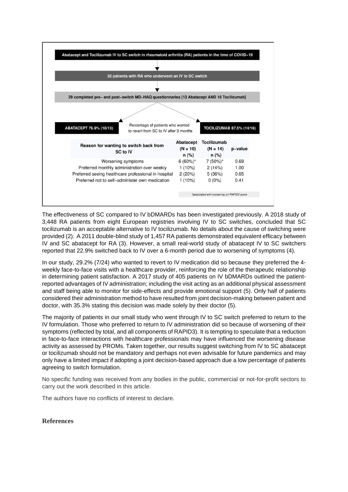

The effectiveness of SC compared to IV bDMARDs has been investigated previously. A 2018 study of 3,448 RA patients from eight European registries involving IV to SC switches, concluded that SC tocilizumab is an acceptable alternative to IV tocilizumab. No details about the cause of switching were provided (2). A 2011 double-blind study of 1,457 RA patients demonstrated equivalent efficacy between IV and SC abatacept for RA (3). However, a small real-world study of abatacept IV to SC switchers reported that 22.9% switched back to IV over a 6-month period due to worsening of symptoms (4).

In our study, 29.2% (7/24) who wanted to revert to IV medication did so because they preferred the 4 weekly face-to-face visits with a healthcare provider, reinforcing the role of the therapeutic relationship in determining patient satisfaction. A 2017 study of 405 patients on IV bDMARDs outlined the patientreported advantages of IV administration; including the visit acting as an additional physical assessment and staff being able to monitor for side-effects and provide emotional support (5). Only half of patients considered their administration method to have resulted from joint decision-making between patient and doctor, with 35.3% stating this decision was made solely by their doctor (5).

The majority of patients in our small study who went through IV to SC switch preferred to return to the IV formulation. Those who preferred to return to IV administration did so because of worsening of their symptoms (reflected by total, and all components of RAPID3). It is tempting to speculate that a reduction in face-to-face interactions with healthcare professionals may have influenced the worsening disease activity as assessed by PROMs. Taken together, our results suggest switching from IV to SC abatacept or tocilizumab should not be mandatory and perhaps not even advisable for future pandemics and may only have a limited impact if adopting a joint decision-based approach due a low percentage of patients agreeing to switch formulation.

No specific funding was received from any bodies in the public, commercial or not-for-profit sectors to carry out the work described in this article.

The authors have no conflicts of interest to declare.

**References**